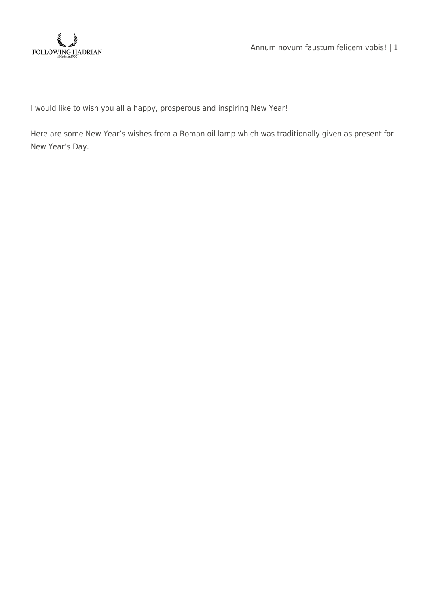

Annum novum faustum felicem vobis! | 1

I would like to wish you all a happy, prosperous and inspiring New Year!

Here are some New Year's wishes from a Roman oil lamp which was traditionally given as present for New Year's Day.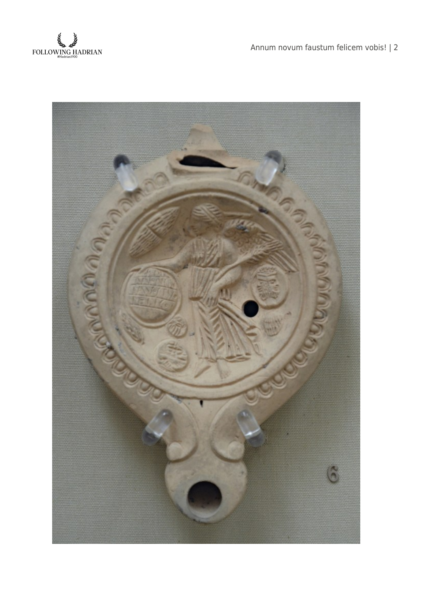

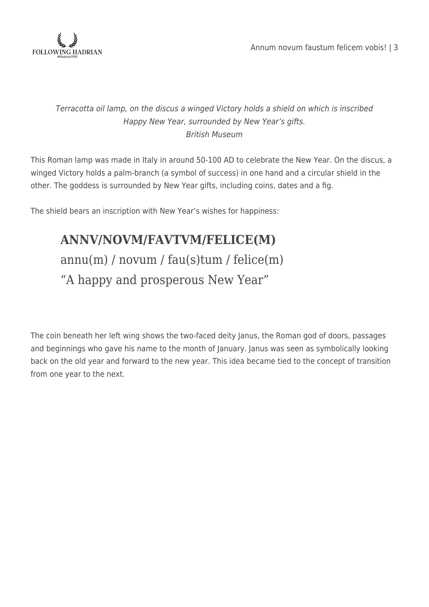

## Terracotta oil lamp, on the discus a winged Victory holds a shield on which is inscribed Happy New Year, surrounded by New Year's gifts. British Museum

This Roman lamp was made in Italy in around 50-100 AD to celebrate the New Year. On the discus, a winged Victory holds a palm-branch (a symbol of success) in one hand and a circular shield in the other. The goddess is surrounded by New Year gifts, including coins, dates and a fig.

The shield bears an inscription with New Year's wishes for happiness:

## **ANNV/NOVM/FAVTVM/FELICE(M)** annu(m) / novum / fau(s)tum / felice(m) "A happy and prosperous New Year"

The coin beneath her left wing shows the two-faced deity Janus, the Roman god of doors, passages and beginnings who gave his name to the month of January. Janus was seen as symbolically looking back on the old year and forward to the new year. This idea became tied to the concept of transition from one year to the next.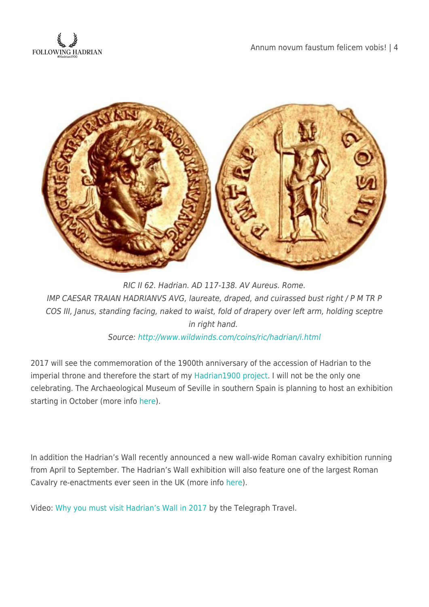

RIC II 62. Hadrian. AD 117-138. AV Aureus. Rome. IMP CAESAR TRAIAN HADRIANVS AVG, laureate, draped, and cuirassed bust right / P M TR P COS III, Janus, standing facing, naked to waist, fold of drapery over left arm, holding sceptre in right hand.

Source: <http://www.wildwinds.com/coins/ric/hadrian/i.html>

2017 will see the commemoration of the 1900th anniversary of the accession of Hadrian to the imperial throne and therefore the start of my [Hadrian1900 project.](https://followinghadrian.com/hadrian-1900-project/) I will not be the only one celebrating. The Archaeological Museum of Seville in southern Spain is planning to host an exhibition starting in October (more info [here](https://followinghadrian.com/2016/02/20/seville-to-commemorate-the-1900th-anniversary-of-hadrians-accession-to-the-throne-117-2017/)).

In addition the Hadrian's Wall recently announced a new wall-wide Roman cavalry exhibition running from April to September. The Hadrian's Wall exhibition will also feature one of the largest Roman Cavalry re-enactments ever seen in the UK (more info [here](http://hadrianswallcountry.co.uk/media/news/hadrian%E2%80%99s-wall-announces-new-wall-wide-roman-cavalry-exhibition)).

Video: [Why you must visit Hadrian's Wall in 2017](https://player.ooyala.com/static/v4/stable/4.7.9/skin-plugin/iframe.html?ec=QwcnJtODE6TfVeVsO1F8AMEQ8TsQdgqg&pbid=ZTIxYmJjZDM2NWYzZDViZGRiOWJjYzc5&pcode=RvbGU6Z74XE_a3bj4QwRGByhq9h2) by the Telegraph Travel.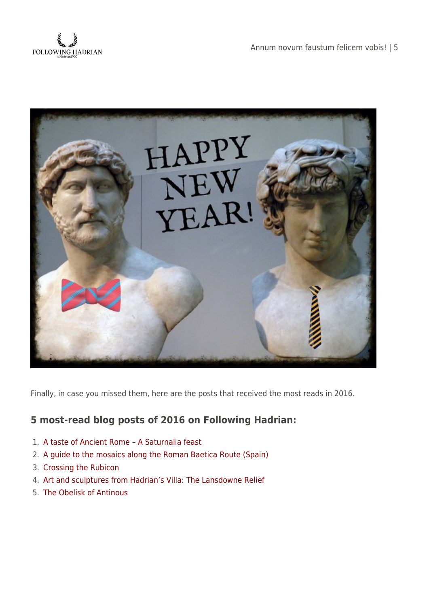



Finally, in case you missed them, here are the posts that received the most reads in 2016.

## **5 most-read blog posts of 2016 on Following Hadrian:**

- 1. [A taste of Ancient Rome A Saturnalia feast](https://followinghadrian.com/2016/01/13/a-taste-of-ancient-rome-a-saturnalia-feast/)
- 2. [A guide to the mosaics along the Roman Baetica Route \(Spain\)](https://followinghadrian.com/2016/03/13/a-guide-to-the-mosaics-along-the-roman-baetica-route-spain/)
- 3. [Crossing the Rubicon](https://followinghadrian.com/2016/01/10/crossing-the-rubicon/)
- 4. [Art and sculptures from Hadrian's Villa: The Lansdowne Relief](https://followinghadrian.com/2016/03/26/art-and-sculptures-from-hadrians-villa-the-lansdowne-relief/)
- 5. [The Obelisk of Antinous](https://followinghadrian.com/2016/10/02/the-obelisk-of-antinous/)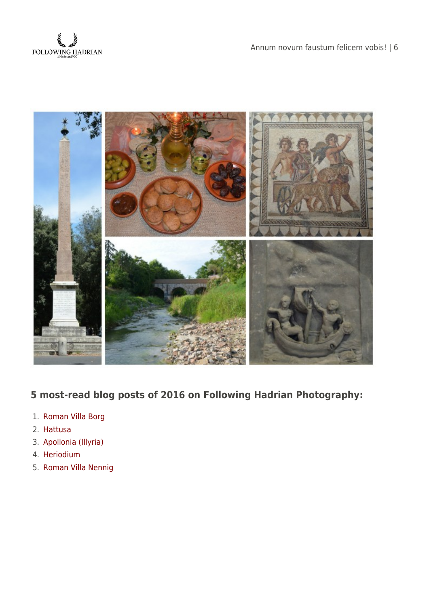



**5 most-read blog posts of 2016 on Following Hadrian Photography:**

- 1. [Roman Villa Borg](https://followinghadrianphotography.com/2016/09/18/roman-villa-borg/)
- 2. [Hattusa](https://followinghadrianphotography.com/2016/08/22/hattusa/)
- 3. [Apollonia \(Illyria\)](https://followinghadrianphotography.com/2016/07/13/apollonia-illyria/)
- 4. [Heriodium](https://followinghadrianphotography.com/2016/06/23/herodium/)
- 5. [Roman Villa Nennig](https://followinghadrianphotography.com/2016/10/05/roman-villa-nennig/)